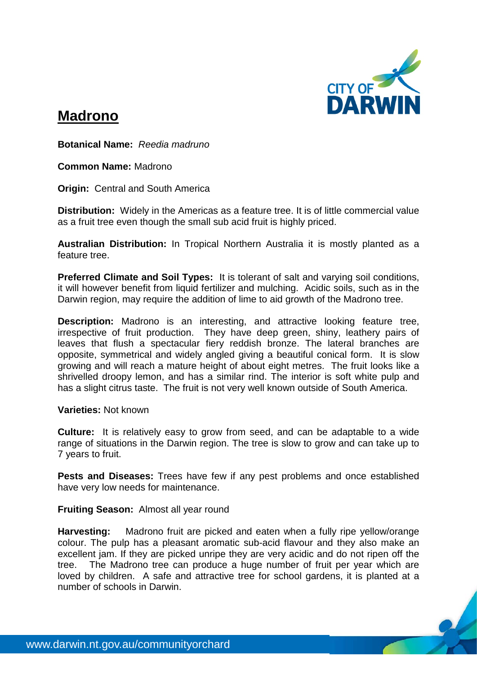

## **Madrono**

**Botanical Name:** *Reedia madruno* 

**Common Name:** Madrono

**Origin: Central and South America** 

**Distribution:** Widely in the Americas as a feature tree. It is of little commercial value as a fruit tree even though the small sub acid fruit is highly priced.

**Australian Distribution:** In Tropical Northern Australia it is mostly planted as a feature tree.

**Preferred Climate and Soil Types:** It is tolerant of salt and varying soil conditions, it will however benefit from liquid fertilizer and mulching. Acidic soils, such as in the Darwin region, may require the addition of lime to aid growth of the Madrono tree.

**Description:** Madrono is an interesting, and attractive looking feature tree, irrespective of fruit production. They have deep green, shiny, leathery pairs of leaves that flush a spectacular fiery reddish bronze. The lateral branches are opposite, symmetrical and widely angled giving a beautiful conical form. It is slow growing and will reach a mature height of about eight metres. The fruit looks like a shrivelled droopy lemon, and has a similar rind. The interior is soft white pulp and has a slight citrus taste. The fruit is not very well known outside of South America.

## **Varieties:** Not known

**Culture:** It is relatively easy to grow from seed, and can be adaptable to a wide range of situations in the Darwin region. The tree is slow to grow and can take up to 7 years to fruit.

**Pests and Diseases:** Trees have few if any pest problems and once established have very low needs for maintenance.

**Fruiting Season:** Almost all year round

**Harvesting:** Madrono fruit are picked and eaten when a fully ripe yellow/orange colour. The pulp has a pleasant aromatic sub-acid flavour and they also make an excellent jam. If they are picked unripe they are very acidic and do not ripen off the tree. The Madrono tree can produce a huge number of fruit per year which are loved by children. A safe and attractive tree for school gardens, it is planted at a number of schools in Darwin.